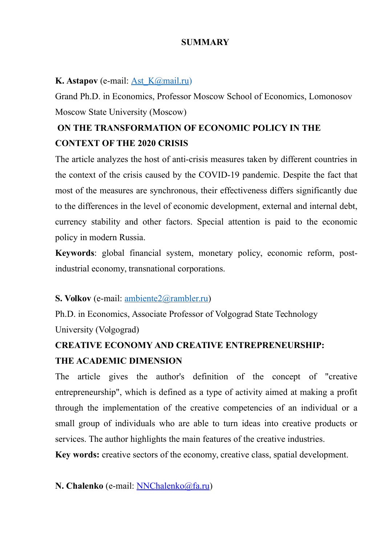#### **SUMMARY**

#### **K. Astapov** (e-mail: <u>Ast K@mail.ru)</u>

Grand Ph.D. in Economics, Professor Moscow School of Economics, Lomonosov Moscow State University (Moscow)

## **ON THE TRANSFORMATION OF ECONOMIC POLICY IN THE CONTEXT OF THE 2020 CRISIS**

The article analyzes the host of anti-crisis measures taken by different countries in the context of the crisis caused by the COVID-19 pandemic. Despite the fact that most of the measures are synchronous, their effectiveness differs significantly due to the differences in the level of economic development, external and internal debt, currency stability and other factors. Special attention is paid to the economic policy in modern Russia.

**Keywords**: global financial system, monetary policy, economic reform, postindustrial economy, transnational corporations.

#### **S. Volkov** (e-mail: [ambiente2@rambler.ru\)](mailto:ambiente2@rambler.ru)

Ph.D. in Economics, Associate Professor of Volgograd State Technology University (Volgograd)

### **CREATIVE ECONOMY AND CREATIVE ENTREPRENEURSHIP: THE ACADEMIC DIMENSION**

The article gives the author's definition of the concept of "creative entrepreneurship", which is defined as a type of activity aimed at making a profit through the implementation of the creative competencies of an individual or a small group of individuals who are able to turn ideas into creative products or services. The author highlights the main features of the creative industries.

**Key words:** creative sectors of the economy, creative class, spatial development.

**N. Chalenko** (e-mail: [NNChalenko@fa.ru\)](mailto:NNChalenko@fa.ru)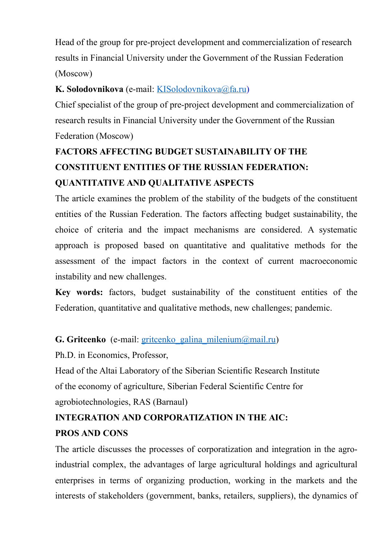Head of the group for pre-project development and commercialization of research results in Financial University under the Government of the Russian Federation (Moscow)

### **K. Solodovnikova** (e-mail: [KISolodovnikova@fa.ru\)](mailto:KISolodovnikova@fa.ru)

Сhief specialist of the group of pre-project development and commercialization of research results in Financial University under the Government of the Russian Federation (Moscow)

# **FACTORS AFFECTING BUDGET SUSTAINABILITY OF THE CONSTITUENT ENTITIES OF THE RUSSIAN FEDERATION: QUANTITATIVE AND QUALITATIVE ASPECTS**

The article examines the problem of the stability of the budgets of the constituent entities of the Russian Federation. The factors affecting budget sustainability, the choice of criteria and the impact mechanisms are considered. A systematic approach is proposed based on quantitative and qualitative methods for the assessment of the impact factors in the context of current macroeconomic instability and new challenges.

**Key words:** factors, budget sustainability of the constituent entities of the Federation, quantitative and qualitative methods, new challenges; pandemic.

#### **G. Gritcenko** (e-mail: gritcenko galina milenium@mail.ru)

Ph.D. in Economics, Professor,

Head of the Altai Laboratory of the Siberian Scientific Research Institute of the economy of agriculture, Siberian Federal Scientific Centre for agrobiotechnologies, RAS (Barnaul)

## **INTEGRATION AND CORPORATIZATION IN THE AIC: PROS AND CONS**

The article discusses the processes of corporatization and integration in the agroindustrial complex, the advantages of large agricultural holdings and agricultural enterprises in terms of organizing production, working in the markets and the interests of stakeholders (government, banks, retailers, suppliers), the dynamics of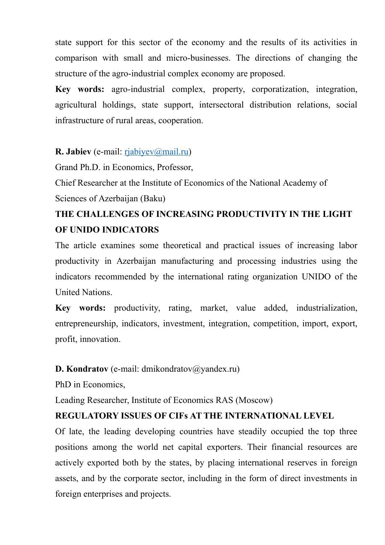state support for this sector of the economy and the results of its activities in comparison with small and micro-businesses. The directions of changing the structure of the agro-industrial complex economy are proposed.

**Key words:** agro-industrial complex, property, corporatization, integration, agricultural holdings, state support, intersectoral distribution relations, social infrastructure of rural areas, cooperation.

#### **R. Jabiev** (e-mail: [rjabiyev@mail.ru\)](mailto:rjabiyev@mail.ru)

Grand Ph.D. in Economics, Professor,

Chief Researcher at the Institute of Economics of the National Academy of Sciences of Azerbaijan (Baku)

### **THE CHALLENGES OF INCREASING PRODUCTIVITY IN THE LIGHT OF UNIDO INDICATORS**

The article examines some theoretical and practical issues of increasing labor productivity in Azerbaijan manufacturing and processing industries using the indicators recommended by the international rating organization UNIDO of the United Nations.

**Key words:** productivity, rating, market, value added, industrialization, entrepreneurship, indicators, investment, integration, competition, import, export, profit, innovation.

#### **D. Kondratov** (e-mail: dmikondratov@yandex.ru)

PhD in Economics,

Leading Researcher, Institute of Economics RAS (Moscow)

#### **REGULATORY ISSUES OF CIFs AT THE INTERNATIONAL LEVEL**

Of late, the leading developing countries have steadily occupied the top three positions among the world net capital exporters. Their financial resources are actively exported both by the states, by placing international reserves in foreign assets, and by the corporate sector, including in the form of direct investments in foreign enterprises and projects.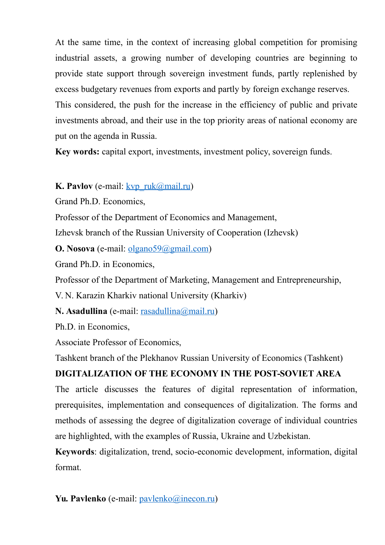At the same time, in the context of increasing global competition for promising industrial assets, a growing number of developing countries are beginning to provide state support through sovereign investment funds, partly replenished by excess budgetary revenues from exports and partly by foreign exchange reserves. This considered, the push for the increase in the efficiency of public and private investments abroad, and their use in the top priority areas of national economy are put on the agenda in Russia.

**Key words:** capital export, investments, investment policy, sovereign funds.

#### **K. Pavlov** (e-mail:  $kvp$  ruk@mail.ru)

Grand Ph.D. Economics,

Professor of the Department of Economics and Management,

Izhevsk branch оf the Russian University of Cooperation (Izhevsk)

**O. Nosova** (e-mail: <u>olgano59@gmail.com</u>)

Grand Ph.D. in Economics,

Professor of the Department of Marketing, Management and Entrepreneurship,

V. N. Karazin Kharkiv national University (Kharkiv)

**N. Asadullina** (e-mail: [rasadullina@mail.ru\)](mailto:rasadullina@mail.ru)

Ph.D. in Economics,

Associate Professor of Economics,

Tashkent branch of the Plekhanov Russian University of Economics (Tashkent)

### **DIGITALIZATION OF THE ECONOMY IN THE POST-SOVIET AREA**

The article discusses the features of digital representation of information, prerequisites, implementation and consequences of digitalization. The forms and methods of assessing the degree of digitalization coverage of individual countries are highlighted, with the examples of Russia, Ukraine and Uzbekistan.

**Keywords**: digitalization, trend, socio-economic development, information, digital format.

Yu. Pavlenko (e-mail: [pavlenko@inecon.ru\)](mailto:pavlenko@inecon.ru)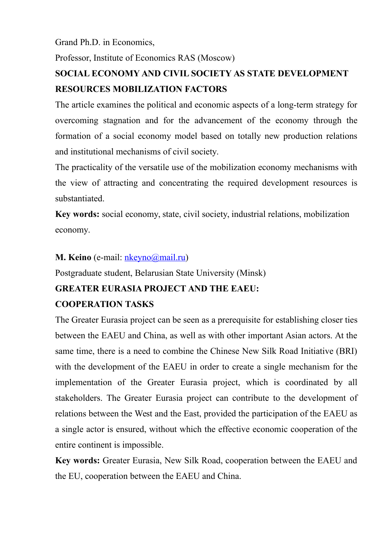Grand Ph.D. in Economics,

Professor, Institute of Economics RAS (Moscow)

## **SOCIAL ECONOMY AND CIVIL SOCIETY AS STATE DEVELOPMENT RESOURCES MOBILIZATION FACTORS**

The article examines the political and economic aspects of a long-term strategy for overcoming stagnation and for the advancement of the economy through the formation of a social economy model based on totally new production relations and institutional mechanisms of civil society.

The practicality of the versatile use of the mobilization economy mechanisms with the view of attracting and concentrating the required development resources is substantiated.

**Key words:** social economy, state, civil society, industrial relations, mobilization economy.

#### **M. Keino** (e-mail: [nkeyno@mail.ru\)](mailto:nkeyno@mail.ru)

Postgraduate student, Belarusian State University (Minsk)

#### **GREATER EURASIA PROJECT AND THE EAEU:**

#### **COOPERATION TASKS**

The Greater Eurasia project can be seen as a prerequisite for establishing closer ties between the EAEU and China, as well as with other important Asian actors. At the same time, there is a need to combine the Chinese New Silk Road Initiative (BRI) with the development of the EAEU in order to create a single mechanism for the implementation of the Greater Eurasia project, which is coordinated by all stakeholders. The Greater Eurasia project can contribute to the development of relations between the West and the East, provided the participation of the EAEU as a single actor is ensured, without which the effective economic cooperation of the entire continent is impossible.

**Key words:** Greater Eurasia, New Silk Road, cooperation between the EAEU and the EU, cooperation between the EAEU and China.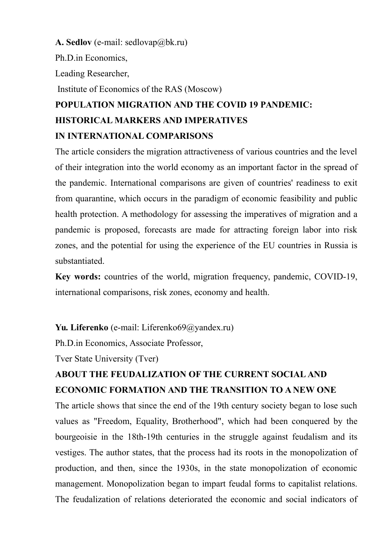#### **A. Sedlov** (e-mail: sedlovap@bk.ru)

Ph.D.in Economics,

Leading Researcher,

Institute of Economics of the RAS (Moscow)

# **POPULATION MIGRATION AND THE COVID 19 PANDEMIC: HISTORICAL MARKERS AND IMPERATIVES IN INTERNATIONAL COMPARISONS**

The article considers the migration attractiveness of various countries and the level of their integration into the world economy as an important factor in the spread of the pandemic. International comparisons are given of countries' readiness to exit from quarantine, which occurs in the paradigm of economic feasibility and public health protection. A methodology for assessing the imperatives of migration and a pandemic is proposed, forecasts are made for attracting foreign labor into risk zones, and the potential for using the experience of the EU countries in Russia is substantiated.

**Key words:** countries of the world, migration frequency, pandemic, COVID-19, international comparisons, risk zones, economy and health.

#### **Yu. Liferenko** (e-mail: Liferenko69@yandex.ru)

Ph.D.in Economics, Associate Professor,

Tver State University (Tver)

### **ABOUT THE FEUDALIZATION OF THE CURRENT SOCIAL AND ECONOMIC FORMATION AND THE TRANSITION TO A NEW ONE**

The article shows that since the end of the 19th century society began to lose such values as "Freedom, Equality, Brotherhood", which had been conquered by the bourgeoisie in the 18th-19th centuries in the struggle against feudalism and its vestiges. The author states, that the process had its roots in the monopolization of production, and then, since the 1930s, in the state monopolization of economic management. Monopolization began to impart feudal forms to capitalist relations. The feudalization of relations deteriorated the economic and social indicators of